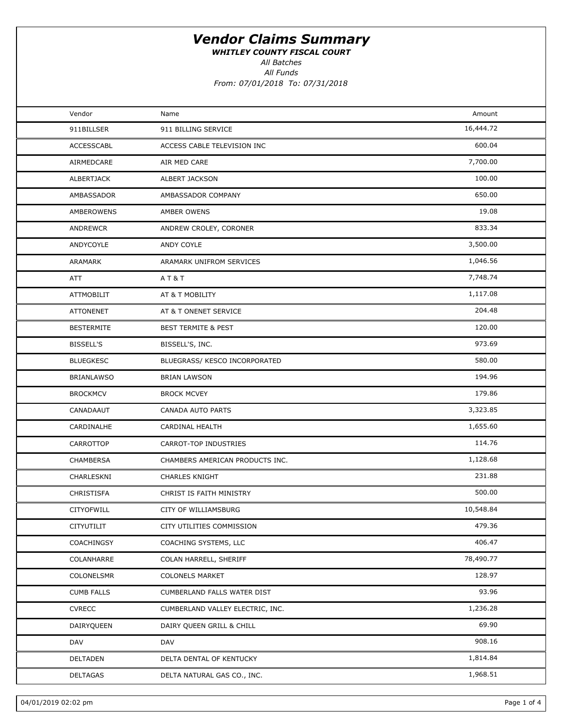WHITLEY COUNTY FISCAL COURT

All Batches

All Funds From: 07/01/2018 To: 07/31/2018

| Vendor            | Name                             | Amount    |  |
|-------------------|----------------------------------|-----------|--|
| 911BILLSER        | 911 BILLING SERVICE              | 16,444.72 |  |
| ACCESSCABL        | ACCESS CABLE TELEVISION INC      | 600.04    |  |
| AIRMEDCARE        | AIR MED CARE                     | 7,700.00  |  |
| ALBERTJACK        | ALBERT JACKSON                   | 100.00    |  |
| AMBASSADOR        | AMBASSADOR COMPANY               | 650.00    |  |
| AMBEROWENS        | AMBER OWENS                      | 19.08     |  |
| <b>ANDREWCR</b>   | ANDREW CROLEY, CORONER           | 833.34    |  |
| ANDYCOYLE         | ANDY COYLE                       | 3,500.00  |  |
| ARAMARK           | ARAMARK UNIFROM SERVICES         | 1,046.56  |  |
| ATT               | AT&T                             | 7,748.74  |  |
| <b>ATTMOBILIT</b> | AT & T MOBILITY                  | 1,117.08  |  |
| <b>ATTONENET</b>  | AT & T ONENET SERVICE            | 204.48    |  |
| <b>BESTERMITE</b> | <b>BEST TERMITE &amp; PEST</b>   | 120.00    |  |
| <b>BISSELL'S</b>  | BISSELL'S, INC.                  | 973.69    |  |
| <b>BLUEGKESC</b>  | BLUEGRASS/ KESCO INCORPORATED    | 580.00    |  |
| <b>BRIANLAWSO</b> | <b>BRIAN LAWSON</b>              | 194.96    |  |
| <b>BROCKMCV</b>   | <b>BROCK MCVEY</b>               | 179.86    |  |
| CANADAAUT         | CANADA AUTO PARTS                | 3,323.85  |  |
| CARDINALHE        | CARDINAL HEALTH                  | 1,655.60  |  |
| CARROTTOP         | CARROT-TOP INDUSTRIES            | 114.76    |  |
| CHAMBERSA         | CHAMBERS AMERICAN PRODUCTS INC.  | 1,128.68  |  |
| CHARLESKNI        | <b>CHARLES KNIGHT</b>            | 231.88    |  |
| CHRISTISFA        | CHRIST IS FAITH MINISTRY         | 500.00    |  |
| CITYOFWILL        | <b>CITY OF WILLIAMSBURG</b>      | 10,548.84 |  |
| CITYUTILIT        | CITY UTILITIES COMMISSION        | 479.36    |  |
| COACHINGSY        | COACHING SYSTEMS, LLC            | 406.47    |  |
| COLANHARRE        | COLAN HARRELL, SHERIFF           | 78,490.77 |  |
| COLONELSMR        | <b>COLONELS MARKET</b>           | 128.97    |  |
| <b>CUMB FALLS</b> | CUMBERLAND FALLS WATER DIST      | 93.96     |  |
| <b>CVRECC</b>     | CUMBERLAND VALLEY ELECTRIC, INC. | 1,236.28  |  |
| DAIRYQUEEN        | DAIRY QUEEN GRILL & CHILL        | 69.90     |  |
| DAV               | DAV                              | 908.16    |  |
| DELTADEN          | DELTA DENTAL OF KENTUCKY         | 1,814.84  |  |
| <b>DELTAGAS</b>   | DELTA NATURAL GAS CO., INC.      | 1,968.51  |  |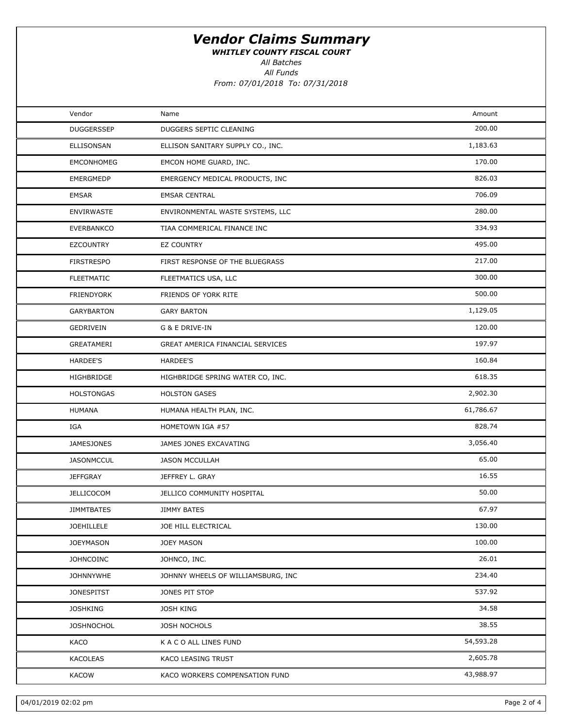WHITLEY COUNTY FISCAL COURT

All Batches

All Funds

From: 07/01/2018 To: 07/31/2018

| Vendor            | Name                               | Amount    |  |
|-------------------|------------------------------------|-----------|--|
| <b>DUGGERSSEP</b> | DUGGERS SEPTIC CLEANING            | 200.00    |  |
| ELLISONSAN        | ELLISON SANITARY SUPPLY CO., INC.  | 1,183.63  |  |
| <b>EMCONHOMEG</b> | EMCON HOME GUARD, INC.             | 170.00    |  |
| <b>EMERGMEDP</b>  | EMERGENCY MEDICAL PRODUCTS, INC    | 826.03    |  |
| <b>EMSAR</b>      | <b>EMSAR CENTRAL</b>               | 706.09    |  |
| <b>ENVIRWASTE</b> | ENVIRONMENTAL WASTE SYSTEMS, LLC   | 280.00    |  |
| <b>EVERBANKCO</b> | TIAA COMMERICAL FINANCE INC        | 334.93    |  |
| <b>EZCOUNTRY</b>  | <b>EZ COUNTRY</b>                  | 495.00    |  |
| <b>FIRSTRESPO</b> | FIRST RESPONSE OF THE BLUEGRASS    | 217.00    |  |
| <b>FLEETMATIC</b> | FLEETMATICS USA, LLC               | 300.00    |  |
| <b>FRIENDYORK</b> | FRIENDS OF YORK RITE               | 500.00    |  |
| <b>GARYBARTON</b> | <b>GARY BARTON</b>                 | 1,129.05  |  |
| GEDRIVEIN         | G & E DRIVE-IN                     | 120.00    |  |
| GREATAMERI        | GREAT AMERICA FINANCIAL SERVICES   | 197.97    |  |
| HARDEE'S          | <b>HARDEE'S</b>                    | 160.84    |  |
| HIGHBRIDGE        | HIGHBRIDGE SPRING WATER CO, INC.   | 618.35    |  |
| <b>HOLSTONGAS</b> | <b>HOLSTON GASES</b>               | 2,902.30  |  |
| <b>HUMANA</b>     | HUMANA HEALTH PLAN, INC.           | 61,786.67 |  |
| IGA               | HOMETOWN IGA #57                   | 828.74    |  |
| <b>JAMESJONES</b> | JAMES JONES EXCAVATING             | 3,056.40  |  |
| <b>JASONMCCUL</b> | <b>JASON MCCULLAH</b>              | 65.00     |  |
| <b>JEFFGRAY</b>   | JEFFREY L. GRAY                    | 16.55     |  |
| <b>JELLICOCOM</b> | JELLICO COMMUNITY HOSPITAL         | 50.00     |  |
| <b>JIMMTBATES</b> | <b>JIMMY BATES</b>                 | 67.97     |  |
| JOEHILLELE        | JOE HILL ELECTRICAL                | 130.00    |  |
| <b>JOEYMASON</b>  | <b>JOEY MASON</b>                  | 100.00    |  |
| <b>JOHNCOINC</b>  | JOHNCO, INC.                       | 26.01     |  |
| <b>JOHNNYWHE</b>  | JOHNNY WHEELS OF WILLIAMSBURG, INC | 234.40    |  |
| <b>JONESPITST</b> | JONES PIT STOP                     | 537.92    |  |
| <b>JOSHKING</b>   | <b>JOSH KING</b>                   | 34.58     |  |
| <b>JOSHNOCHOL</b> | JOSH NOCHOLS                       | 38.55     |  |
| KACO              | K A C O ALL LINES FUND             | 54,593.28 |  |
| KACOLEAS          | KACO LEASING TRUST                 | 2,605.78  |  |
| <b>KACOW</b>      | KACO WORKERS COMPENSATION FUND     | 43,988.97 |  |
|                   |                                    |           |  |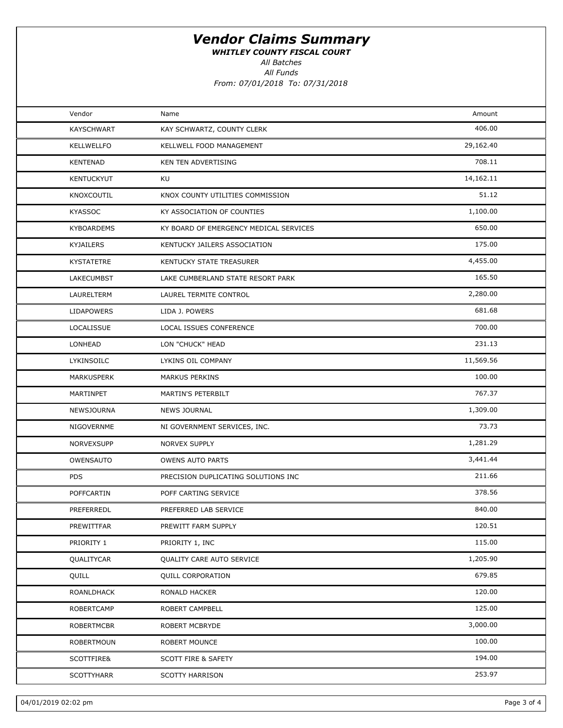WHITLEY COUNTY FISCAL COURT

All Batches

All Funds

From: 07/01/2018 To: 07/31/2018

| Vendor            | Name                                   | Amount    |  |
|-------------------|----------------------------------------|-----------|--|
| <b>KAYSCHWART</b> | KAY SCHWARTZ, COUNTY CLERK             | 406.00    |  |
| <b>KELLWELLFO</b> | KELLWELL FOOD MANAGEMENT               | 29,162.40 |  |
| <b>KENTENAD</b>   | KEN TEN ADVERTISING                    | 708.11    |  |
| <b>KENTUCKYUT</b> | KU                                     | 14,162.11 |  |
| KNOXCOUTIL        | KNOX COUNTY UTILITIES COMMISSION       | 51.12     |  |
| <b>KYASSOC</b>    | KY ASSOCIATION OF COUNTIES             | 1,100.00  |  |
| <b>KYBOARDEMS</b> | KY BOARD OF EMERGENCY MEDICAL SERVICES | 650.00    |  |
| KYJAILERS         | KENTUCKY JAILERS ASSOCIATION           | 175.00    |  |
| KYSTATETRE        | KENTUCKY STATE TREASURER               | 4,455.00  |  |
| LAKECUMBST        | LAKE CUMBERLAND STATE RESORT PARK      | 165.50    |  |
| LAURELTERM        | LAUREL TERMITE CONTROL                 | 2,280.00  |  |
| <b>LIDAPOWERS</b> | LIDA J. POWERS                         | 681.68    |  |
| LOCALISSUE        | LOCAL ISSUES CONFERENCE                | 700.00    |  |
| LONHEAD           | LON "CHUCK" HEAD                       | 231.13    |  |
| LYKINSOILC        | LYKINS OIL COMPANY                     | 11,569.56 |  |
| MARKUSPERK        | MARKUS PERKINS                         | 100.00    |  |
| MARTINPET         | MARTIN'S PETERBILT                     | 767.37    |  |
| NEWSJOURNA        | <b>NEWS JOURNAL</b>                    | 1,309.00  |  |
| NIGOVERNME        | NI GOVERNMENT SERVICES, INC.           | 73.73     |  |
| NORVEXSUPP        | NORVEX SUPPLY                          | 1,281.29  |  |
| OWENSAUTO         | <b>OWENS AUTO PARTS</b>                | 3,441.44  |  |
| <b>PDS</b>        | PRECISION DUPLICATING SOLUTIONS INC    | 211.66    |  |
| POFFCARTIN        | POFF CARTING SERVICE                   | 378.56    |  |
| PREFERREDL        | PREFERRED LAB SERVICE                  | 840.00    |  |
| PREWITTFAR        | PREWITT FARM SUPPLY                    | 120.51    |  |
| PRIORITY 1        | PRIORITY 1, INC                        | 115.00    |  |
| QUALITYCAR        | QUALITY CARE AUTO SERVICE              | 1,205.90  |  |
| QUILL             | <b>QUILL CORPORATION</b>               | 679.85    |  |
| ROANLDHACK        | RONALD HACKER                          | 120.00    |  |
| <b>ROBERTCAMP</b> | ROBERT CAMPBELL                        | 125.00    |  |
| <b>ROBERTMCBR</b> | ROBERT MCBRYDE                         | 3,000.00  |  |
| <b>ROBERTMOUN</b> | ROBERT MOUNCE                          | 100.00    |  |
| SCOTTFIRE&        | <b>SCOTT FIRE &amp; SAFETY</b>         | 194.00    |  |
| <b>SCOTTYHARR</b> | <b>SCOTTY HARRISON</b>                 | 253.97    |  |
|                   |                                        |           |  |